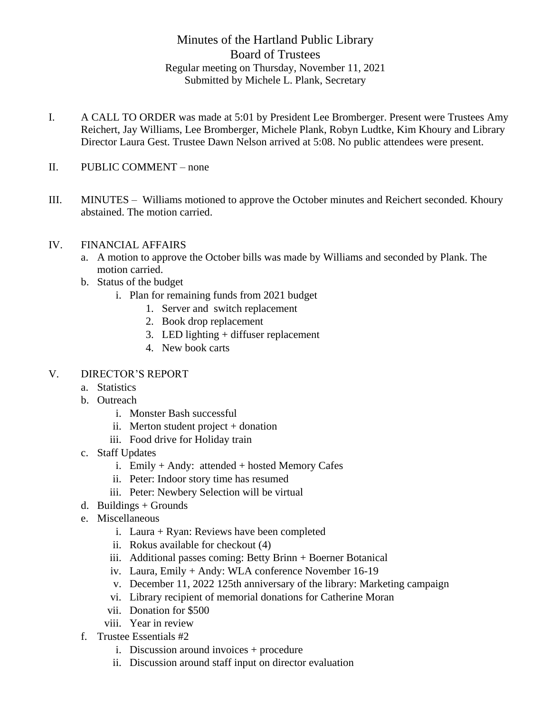## Minutes of the Hartland Public Library Board of Trustees Regular meeting on Thursday, November 11, 2021 Submitted by Michele L. Plank, Secretary

- I. A CALL TO ORDER was made at 5:01 by President Lee Bromberger. Present were Trustees Amy Reichert, Jay Williams, Lee Bromberger, Michele Plank, Robyn Ludtke, Kim Khoury and Library Director Laura Gest. Trustee Dawn Nelson arrived at 5:08. No public attendees were present.
- II. PUBLIC COMMENT none
- III. MINUTES Williams motioned to approve the October minutes and Reichert seconded. Khoury abstained. The motion carried.
- IV. FINANCIAL AFFAIRS
	- a. A motion to approve the October bills was made by Williams and seconded by Plank. The motion carried.
	- b. Status of the budget
		- i. Plan for remaining funds from 2021 budget
			- 1. Server and switch replacement
			- 2. Book drop replacement
			- 3. LED lighting + diffuser replacement
			- 4. New book carts

## V. DIRECTOR'S REPORT

- a. Statistics
- b. Outreach
	- i. Monster Bash successful
	- ii. Merton student project + donation
	- iii. Food drive for Holiday train
- c. Staff Updates
	- i. Emily + Andy: attended + hosted Memory Cafes
	- ii. Peter: Indoor story time has resumed
	- iii. Peter: Newbery Selection will be virtual
- d. Buildings  $+$  Grounds
- e. Miscellaneous
	- i. Laura + Ryan: Reviews have been completed
	- ii. Rokus available for checkout (4)
	- iii. Additional passes coming: Betty Brinn + Boerner Botanical
	- iv. Laura, Emily + Andy: WLA conference November 16-19
	- v. December 11, 2022 125th anniversary of the library: Marketing campaign
	- vi. Library recipient of memorial donations for Catherine Moran
	- vii. Donation for \$500
	- viii. Year in review
- f. Trustee Essentials #2
	- i. Discussion around invoices + procedure
	- ii. Discussion around staff input on director evaluation